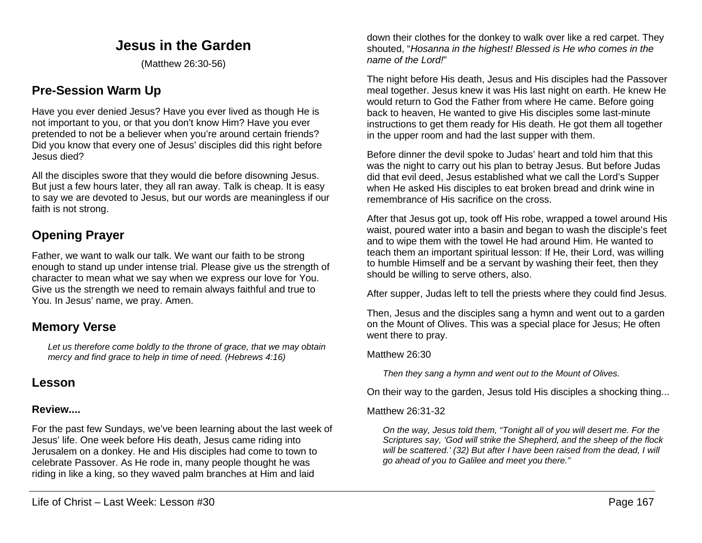## **Jesus in the Garden**

(Matthew 26:30-56)

## **Pre-Session Warm Up**

Have you ever denied Jesus? Have you ever lived as though He is not important to you, or that you don't know Him? Have you ever pretended to not be a believer when you're around certain friends? Did you know that every one of Jesus' disciples did this right before Jesus died?

All the disciples swore that they would die before disowning Jesus. But just a few hours later, they all ran away. Talk is cheap. It is easy to say we are devoted to Jesus, but our words are meaningless if our faith is not strong.

# **Opening Prayer**

Father, we want to walk our talk. We want our faith to be strong enough to stand up under intense trial. Please give us the strength of character to mean what we say when we express our love for You. Give us the strength we need to remain always faithful and true to You. In Jesus' name, we pray. Amen.

## **Memory Verse**

*Let us therefore come boldly to the throne of grace, that we may obtain mercy and find grace to help in time of need. (Hebrews 4:16)*

## **Lesson**

## **Review....**

For the past few Sundays, we've been learning about the last week of Jesus' life. One week before His death, Jesus came riding into Jerusalem on a donkey. He and His disciples had come to town to celebrate Passover. As He rode in, many people thought he was riding in like a king, so they waved palm branches at Him and laid

down their clothes for the donkey to walk over like a red carpet. They shouted, "*Hosanna in the highest! Blessed is He who comes in the name of the Lord!*"

The night before His death, Jesus and His disciples had the Passover meal together. Jesus knew it was His last night on earth. He knew He would return to God the Father from where He came. Before going back to heaven, He wanted to give His disciples some last-minute instructions to get them ready for His death. He got them all together in the upper room and had the last supper with them.

Before dinner the devil spoke to Judas' heart and told him that this was the night to carry out his plan to betray Jesus. But before Judas did that evil deed, Jesus established what we call the Lord's Supper when He asked His disciples to eat broken bread and drink wine in remembrance of His sacrifice on the cross.

After that Jesus got up, took off His robe, wrapped a towel around His waist, poured water into a basin and began to wash the disciple's feet and to wipe them with the towel He had around Him. He wanted to teach them an important spiritual lesson: If He, their Lord, was willing to humble Himself and be a servant by washing their feet, then they should be willing to serve others, also.

After supper, Judas left to tell the priests where they could find Jesus.

Then, Jesus and the disciples sang a hymn and went out to a garden on the Mount of Olives. This was a special place for Jesus; He often went there to pray.

## Matthew 26:30

*Then they sang a hymn and went out to the Mount of Olives.*

On their way to the garden, Jesus told His disciples a shocking thing...

## Matthew 26:31-32

*On the way, Jesus told them, "Tonight all of you will desert me. For the Scriptures say, 'God will strike the Shepherd, and the sheep of the flock will be scattered.' (32) But after I have been raised from the dead, I will go ahead of you to Galilee and meet you there."*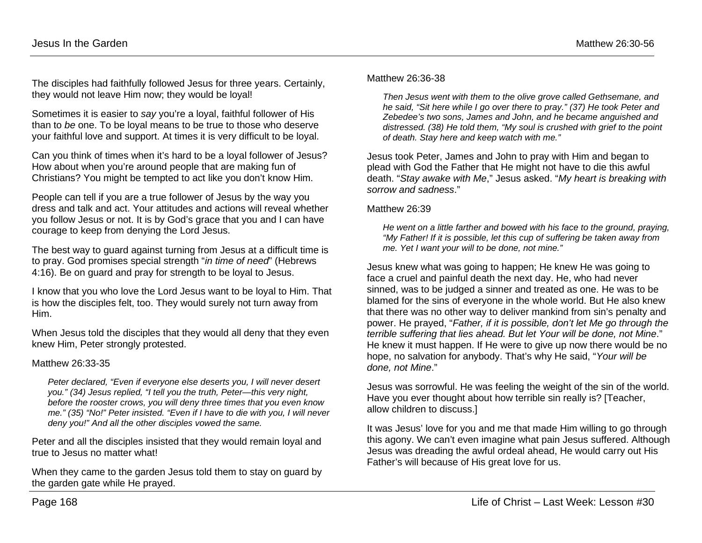The disciples had faithfully followed Jesus for three years. Certainly, they would not leave Him now; they would be loyal!

Sometimes it is easier to *say* you're a loyal, faithful follower of His than to *be* one. To be loyal means to be true to those who deserve your faithful love and support. At times it is very difficult to be loyal.

Can you think of times when it's hard to be a loyal follower of Jesus? How about when you're around people that are making fun of Christians? You might be tempted to act like you don't know Him.

People can tell if you are a true follower of Jesus by the way you dress and talk and act. Your attitudes and actions will reveal whether you follow Jesus or not. It is by God's grace that you and I can have courage to keep from denying the Lord Jesus.

The best way to guard against turning from Jesus at a difficult time is to pray. God promises special strength "*in time of need*" (Hebrews 4:16). Be on guard and pray for strength to be loyal to Jesus.

I know that you who love the Lord Jesus want to be loyal to Him. That is how the disciples felt, too. They would surely not turn away from Him.

When Jesus told the disciples that they would all deny that they even knew Him, Peter strongly protested.

### Matthew 26:33-35

*Peter declared, "Even if everyone else deserts you, I will never desert you." (34) Jesus replied, "I tell you the truth, Peter—this very night, before the rooster crows, you will deny three times that you even know me." (35) "No!" Peter insisted. "Even if I have to die with you, I will never deny you!" And all the other disciples vowed the same.*

Peter and all the disciples insisted that they would remain loyal and true to Jesus no matter what!

When they came to the garden Jesus told them to stay on guard by the garden gate while He prayed.

#### Matthew 26:36-38

*Then Jesus went with them to the olive grove called Gethsemane, and he said, "Sit here while I go over there to pray." (37) He took Peter and Zebedee's two sons, James and John, and he became anguished and distressed. (38) He told them, "My soul is crushed with grief to the point of death. Stay here and keep watch with me."*

Jesus took Peter, James and John to pray with Him and began to plead with God the Father that He might not have to die this awful death. "*Stay awake with Me*," Jesus asked. "*My heart is breaking with sorrow and sadness*."

#### Matthew 26:39

*He went on a little farther and bowed with his face to the ground, praying, "My Father! If it is possible, let this cup of suffering be taken away from me. Yet I want your will to be done, not mine."* 

Jesus knew what was going to happen; He knew He was going to face a cruel and painful death the next day. He, who had never sinned, was to be judged a sinner and treated as one. He was to be blamed for the sins of everyone in the whole world. But He also knew that there was no other way to deliver mankind from sin's penalty and power. He prayed, "*Father, if it is possible, don't let Me go through the terrible suffering that lies ahead. But let Your will be done, not Mine*." He knew it must happen. If He were to give up now there would be no hope, no salvation for anybody. That's why He said, "*Your will be done, not Mine*."

Jesus was sorrowful. He was feeling the weight of the sin of the world. Have you ever thought about how terrible sin really is? [Teacher, allow children to discuss.]

It was Jesus' love for you and me that made Him willing to go through this agony. We can't even imagine what pain Jesus suffered. Although Jesus was dreading the awful ordeal ahead, He would carry out His Father's will because of His great love for us.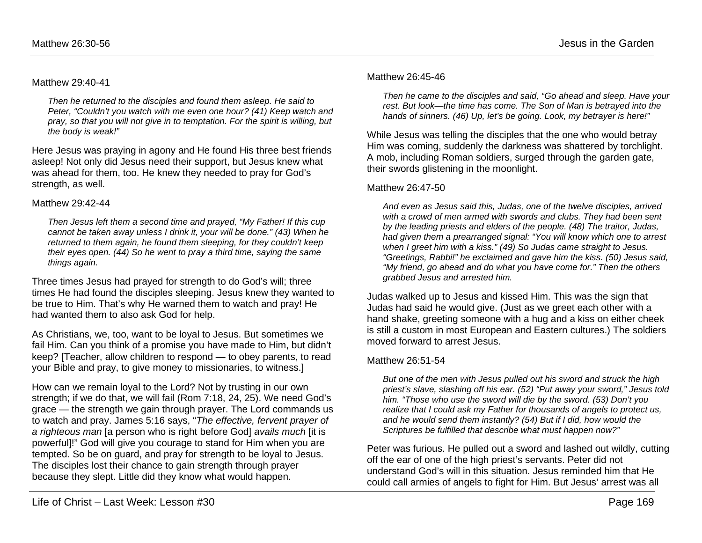### Matthew 29:40-41

*Then he returned to the disciples and found them asleep. He said to Peter, "Couldn't you watch with me even one hour? (41) Keep watch and pray, so that you will not give in to temptation. For the spirit is willing, but the body is weak!"*

Here Jesus was praying in agony and He found His three best friends asleep! Not only did Jesus need their support, but Jesus knew what was ahead for them, too. He knew they needed to pray for God's strength, as well.

## Matthew 29:42-44

*Then Jesus left them a second time and prayed, "My Father! If this cup cannot be taken away unless I drink it, your will be done." (43) When he returned to them again, he found them sleeping, for they couldn't keep their eyes open. (44) So he went to pray a third time, saying the same things again.*

Three times Jesus had prayed for strength to do God's will; three times He had found the disciples sleeping. Jesus knew they wanted to be true to Him. That's why He warned them to watch and pray! He had wanted them to also ask God for help.

As Christians, we, too, want to be loyal to Jesus. But sometimes we fail Him. Can you think of a promise you have made to Him, but didn't keep? [Teacher, allow children to respond — to obey parents, to read your Bible and pray, to give money to missionaries, to witness.]

How can we remain loyal to the Lord? Not by trusting in our own strength; if we do that, we will fail (Rom 7:18, 24, 25). We need God's grace — the strength we gain through prayer. The Lord commands us to watch and pray. James 5:16 says, "*The effective, fervent prayer of a righteous man* [a person who is right before God] *avails much* [it is powerful]!" God will give you courage to stand for Him when you are tempted. So be on guard, and pray for strength to be loyal to Jesus. The disciples lost their chance to gain strength through prayer because they slept. Little did they know what would happen.

### Matthew 26:45-46

*Then he came to the disciples and said, "Go ahead and sleep. Have your rest. But look—the time has come. The Son of Man is betrayed into the hands of sinners. (46) Up, let's be going. Look, my betrayer is here!"*

While Jesus was telling the disciples that the one who would betray Him was coming, suddenly the darkness was shattered by torchlight. A mob, including Roman soldiers, surged through the garden gate, their swords glistening in the moonlight.

### Matthew 26:47-50

*And even as Jesus said this, Judas, one of the twelve disciples, arrived with a crowd of men armed with swords and clubs. They had been sent by the leading priests and elders of the people. (48) The traitor, Judas, had given them a prearranged signal: "You will know which one to arrest when I greet him with a kiss." (49) So Judas came straight to Jesus. "Greetings, Rabbi!" he exclaimed and gave him the kiss. (50) Jesus said, "My friend, go ahead and do what you have come for." Then the others grabbed Jesus and arrested him.*

Judas walked up to Jesus and kissed Him. This was the sign that Judas had said he would give. (Just as we greet each other with a hand shake, greeting someone with a hug and a kiss on either cheek is still a custom in most European and Eastern cultures.) The soldiers moved forward to arrest Jesus.

## Matthew 26:51-54

*But one of the men with Jesus pulled out his sword and struck the high priest's slave, slashing off his ear. (52) "Put away your sword," Jesus told him. "Those who use the sword will die by the sword. (53) Don't you realize that I could ask my Father for thousands of angels to protect us, and he would send them instantly? (54) But if I did, how would the Scriptures be fulfilled that describe what must happen now?"*

Peter was furious. He pulled out a sword and lashed out wildly, cutting off the ear of one of the high priest's servants. Peter did not understand God's will in this situation. Jesus reminded him that He could call armies of angels to fight for Him. But Jesus' arrest was all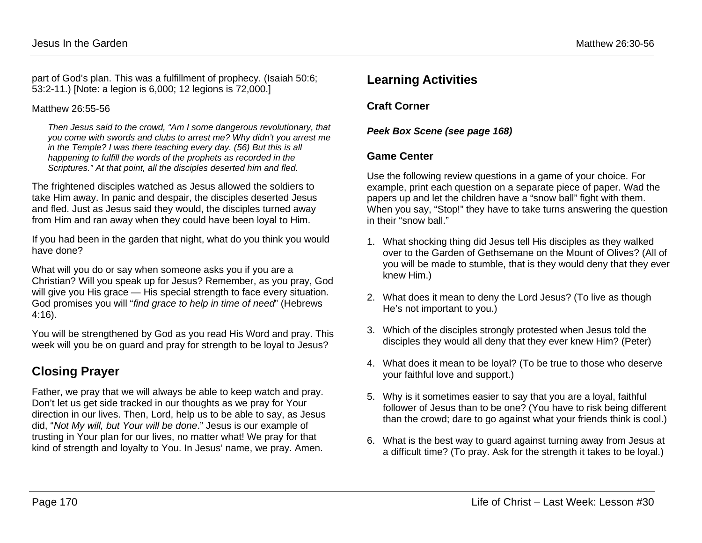part of God's plan. This was a fulfillment of prophecy. (Isaiah 50:6; 53:2-11.) [Note: a legion is 6,000; 12 legions is 72,000.]

## Matthew 26:55-56

*Then Jesus said to the crowd, "Am I some dangerous revolutionary, that you come with swords and clubs to arrest me? Why didn't you arrest me in the Temple? I was there teaching every day. (56) But this is all happening to fulfill the words of the prophets as recorded in the Scriptures." At that point, all the disciples deserted him and fled.*

The frightened disciples watched as Jesus allowed the soldiers to take Him away. In panic and despair, the disciples deserted Jesus and fled. Just as Jesus said they would, the disciples turned away from Him and ran away when they could have been loyal to Him.

If you had been in the garden that night, what do you think you would have done?

What will you do or say when someone asks you if you are a Christian? Will you speak up for Jesus? Remember, as you pray, God will give you His grace — His special strength to face every situation. God promises you will "*find grace to help in time of need*" (Hebrews 4:16).

You will be strengthened by God as you read His Word and pray. This week will you be on guard and pray for strength to be loyal to Jesus?

# **Closing Prayer**

Father, we pray that we will always be able to keep watch and pray. Don't let us get side tracked in our thoughts as we pray for Your direction in our lives. Then, Lord, help us to be able to say, as Jesus did, "*Not My will, but Your will be done*." Jesus is our example of trusting in Your plan for our lives, no matter what! We pray for that kind of strength and loyalty to You. In Jesus' name, we pray. Amen.

## **Learning Activities**

**Craft Corner**

*Peek Box Scene (see page 168)*

## **Game Center**

Use the following review questions in a game of your choice. For example, print each question on a separate piece of paper. Wad the papers up and let the children have a "snow ball" fight with them. When you say, "Stop!" they have to take turns answering the question in their "snow ball."

- 1. What shocking thing did Jesus tell His disciples as they walked over to the Garden of Gethsemane on the Mount of Olives? (All of you will be made to stumble, that is they would deny that they ever knew Him.)
- 2. What does it mean to deny the Lord Jesus? (To live as though He's not important to you.)
- 3. Which of the disciples strongly protested when Jesus told the disciples they would all deny that they ever knew Him? (Peter)
- 4. What does it mean to be loyal? (To be true to those who deserve your faithful love and support.)
- 5. Why is it sometimes easier to say that you are a loyal, faithful follower of Jesus than to be one? (You have to risk being different than the crowd; dare to go against what your friends think is cool.)
- 6. What is the best way to guard against turning away from Jesus at a difficult time? (To pray. Ask for the strength it takes to be loyal.)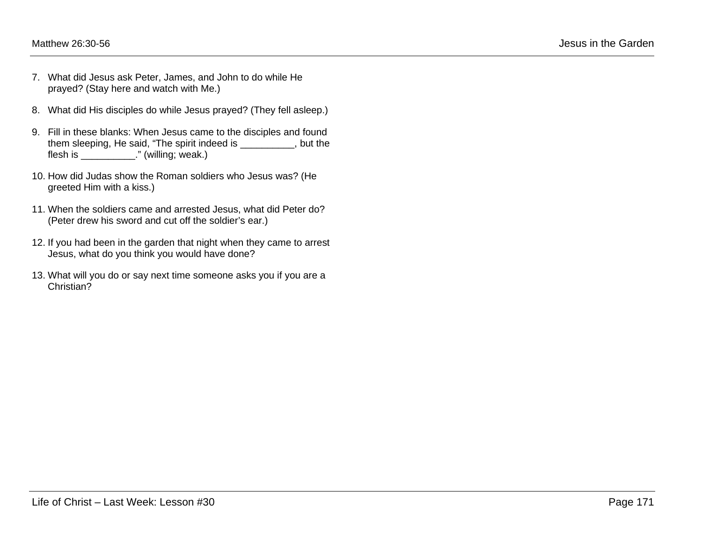- 7. What did Jesus ask Peter, James, and John to do while He prayed? (Stay here and watch with Me.)
- 8. What did His disciples do while Jesus prayed? (They fell asleep.)
- 9. Fill in these blanks: When Jesus came to the disciples and found them sleeping, He said, "The spirit indeed is \_\_\_\_\_\_\_\_\_\_, but the flesh is \_\_\_\_\_\_\_\_\_\_\_." (willing; weak.)
- 10. How did Judas show the Roman soldiers who Jesus was? (He greeted Him with a kiss.)
- 11. When the soldiers came and arrested Jesus, what did Peter do? (Peter drew his sword and cut off the soldier's ear.)
- 12. If you had been in the garden that night when they came to arrest Jesus, what do you think you would have done?
- 13. What will you do or say next time someone asks you if you are a Christian?